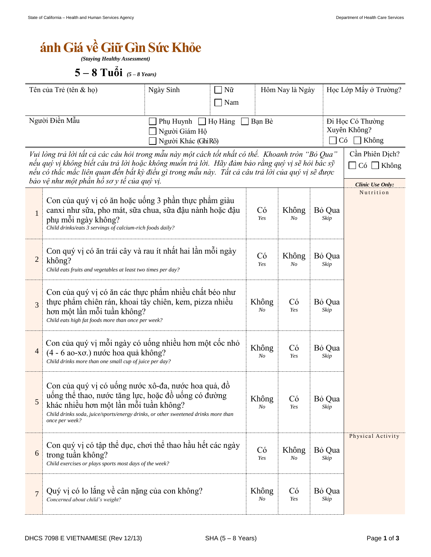## $\acute{\textbf{a}}$

*(Staying Healthy Assessment)*

 $5 - 8$  Tuổi (5-8 Years)

| Tên của Trẻ (tên & họ)                                                                                                                                                                                                                                                                                                                                  |                                                                                                                                                                                                                                                              | Ngày Sinh                                                                       | Hôm Nay là Ngày<br>Nữ<br>Nam |                |                | Học Lớp Mấy ở Trường?                                                |                   |
|---------------------------------------------------------------------------------------------------------------------------------------------------------------------------------------------------------------------------------------------------------------------------------------------------------------------------------------------------------|--------------------------------------------------------------------------------------------------------------------------------------------------------------------------------------------------------------------------------------------------------------|---------------------------------------------------------------------------------|------------------------------|----------------|----------------|----------------------------------------------------------------------|-------------------|
|                                                                                                                                                                                                                                                                                                                                                         | Người Điền Mẫu                                                                                                                                                                                                                                               | Phụ Huynh $\Box$ Họ Hàng<br>Bạn Bè<br>Người Giám Hộ<br>Có<br>Người Khác (GhiRõ) |                              |                |                | Đi Học Có Thường<br>Xuyên Không?<br>Không                            |                   |
| Vui lòng trả lời tất cả các câu hỏi trong mẫu này một cách tốt nhất có thể. Khoanh tròn "Bỏ Qua"<br>nếu quý vị không biết câu trả lời hoặc không muốn trả lời. Hãy đảm bảo rằng quý vị sẽ hỏi bác sỹ<br>nếu có thắc mắc liên quan đến bất kỳ điều gì trong mẫu này. Tất cả câu trả lời của quý vị sẽ được<br>bảo vệ như một phần hồ sơ y tế của quý vị. |                                                                                                                                                                                                                                                              |                                                                                 |                              |                |                | Cần Phiên Dịch?<br>$\Box$ Có $\Box$ Không<br><b>Clinic Use Only:</b> |                   |
| $\mathbf 1$                                                                                                                                                                                                                                                                                                                                             | Con của quý vị có ăn hoặc uống 3 phần thực phẩm giàu<br>canxi như sữa, pho mát, sữa chua, sữa đậu nành hoặc đậu<br>phụ mỗi ngày không?<br>Child drinks/eats 3 servings of calcium-rich foods daily?                                                          | Có<br>Yes                                                                       | Không<br>No                  | Bỏ Qua<br>Skip | Nutrition      |                                                                      |                   |
| $\overline{c}$                                                                                                                                                                                                                                                                                                                                          | Con quý vị có ăn trái cây và rau ít nhất hai lần mỗi ngày<br>không?<br>Child eats fruits and vegetables at least two times per day?                                                                                                                          |                                                                                 | Có<br>Yes                    | Không<br>No    | Bỏ Qua<br>Skip |                                                                      |                   |
| $\overline{3}$                                                                                                                                                                                                                                                                                                                                          | Con của quý vị có ăn các thực phẩm nhiều chất béo như<br>thực phẩm chiến rán, khoai tây chiến, kem, pizza nhiều<br>hơn một lần mỗi tuần không?<br>Child eats high fat foods more than once per week?                                                         |                                                                                 | Không<br>No                  | Có<br>Yes      | Bỏ Qua<br>Skip |                                                                      |                   |
| 4                                                                                                                                                                                                                                                                                                                                                       | Con của quý vị mỗi ngày có uống nhiều hơn một cốc nhỏ<br>(4 - 6 ao-xo.) nước hoa quả không?<br>Child drinks more than one small cup of juice per day?                                                                                                        |                                                                                 |                              |                | Có<br>Yes      | Bỏ Qua<br>Skip                                                       |                   |
| 5                                                                                                                                                                                                                                                                                                                                                       | Con của quý vị có uống nước xô-đa, nước hoa quả, đồ<br>uống thể thao, nước tăng lực, hoặc đồ uống có đường<br>khác nhiều hơn một lần mỗi tuần không?<br>Child drinks soda, juice/sports/energy drinks, or other sweetened drinks more than<br>once per week? |                                                                                 |                              | Không<br>No    | Có<br>Yes      | Bỏ Qua<br>Skip                                                       |                   |
| 6                                                                                                                                                                                                                                                                                                                                                       | Con quý vị có tập thể dục, chơi thể thao hầu hết các ngày<br>trong tuần không?<br>Child exercises or plays sports most days of the week?                                                                                                                     |                                                                                 |                              | Có<br>Yes      | Không<br>No    | Bỏ Qua<br>Skip                                                       | Physical Activity |
| $\overline{7}$                                                                                                                                                                                                                                                                                                                                          | Quý vị có lo lắng về cân nặng của con không?<br>Concerned about child's weight?                                                                                                                                                                              |                                                                                 |                              | Không<br>No    | Có<br>Yes      | Bỏ Qua<br>Skip                                                       |                   |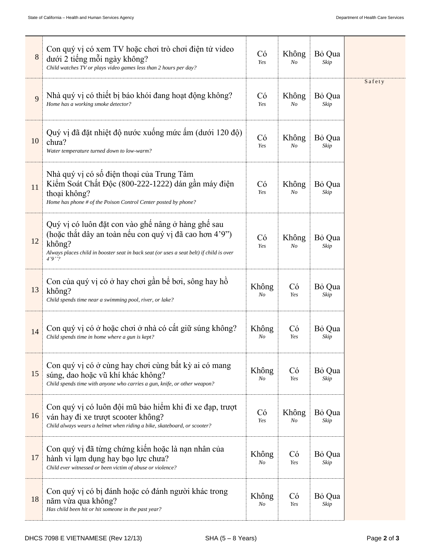| 8  | Con quý vị có xem TV hoặc chơi trò chơi điện tử video<br>dưới 2 tiếng mỗi ngày không?<br>Child watches TV or plays video games less than 2 hours per day?                                                                   |                  | Không<br>N <sub>O</sub> | Bỏ Qua<br>Skip |        |
|----|-----------------------------------------------------------------------------------------------------------------------------------------------------------------------------------------------------------------------------|------------------|-------------------------|----------------|--------|
| 9  | Nhà quý vị có thiết bị báo khói đang hoạt động không?<br>Home has a working smoke detector?                                                                                                                                 | Có<br>Yes        | Không<br>N <sub>O</sub> | Bỏ Qua<br>Skip | Safety |
| 10 | Quý vị đã đặt nhiệt độ nước xuống mức ấm (dưới 120 độ)<br>chua?<br>Water temperature turned down to low-warm?                                                                                                               | Có<br>Yes        | Không<br>N <sub>O</sub> | Bỏ Qua<br>Skip |        |
| 11 | Nhà quý vị có số điện thoại của Trung Tâm<br>Kiểm Soát Chất Độc (800-222-1222) dán gần máy điện<br>thoại không?<br>Home has phone # of the Poison Control Center posted by phone?                                           | Có<br>Yes        | Không<br>N <sub>O</sub> | Bỏ Qua<br>Skip |        |
| 12 | Quý vị có luôn đặt con vào ghế nâng ở hàng ghế sau<br>(hoặc thắt dây an toàn nếu con quý vị đã cao hơn 4'9")<br>không?<br>Always places child in booster seat in back seat (or uses a seat belt) if child is over<br>4'9''? | Có<br>Yes        | Không<br>N <sub>O</sub> | Bỏ Qua<br>Skip |        |
| 13 | Con của quý vị có ở hay chơi gần bể bơi, sông hay hồ<br>không?<br>Child spends time near a swimming pool, river, or lake?                                                                                                   | Không<br>$N_{O}$ | Có<br>Yes               | Bỏ Qua<br>Skip |        |
| 14 | Con quý vị có ở hoặc chơi ở nhà có cất giữ súng không?<br>Child spends time in home where a gun is kept?                                                                                                                    | Không<br>$N_{O}$ | Có<br>Yes               | Bỏ Qua<br>Skip |        |
| 15 | Con quý vị có ở cùng hay chơi cùng bất kỳ ai có mang<br>súng, dao hoặc vũ khí khác không?<br>Child spends time with anyone who carries a gun, knife, or other weapon?                                                       | Không<br>$N_{O}$ | Có<br>Yes               | Bỏ Qua<br>Skip |        |
| 16 | Con quý vị có luôn đội mũ bảo hiểm khi đi xe đạp, trượt<br>ván hay đi xe trượt scooter không?<br>Child always wears a helmet when riding a bike, skateboard, or scooter?                                                    | Có<br>Yes        | Không<br>N <sub>O</sub> | Bỏ Qua<br>Skip |        |
| 17 | Con quý vị đã từng chứng kiến hoặc là nạn nhân của<br>hành vi lạm dụng hay bạo lực chưa?<br>Child ever witnessed or been victim of abuse or violence?                                                                       | Không<br>No      | Có<br>Yes               | Bỏ Qua<br>Skip |        |
| 18 | Con quý vị có bị đánh hoặc có đánh người khác trong<br>năm vừa qua không?<br>Has child been hit or hit someone in the past year?                                                                                            | Không<br>No      | Có<br>Yes               | Bỏ Qua<br>Skip |        |